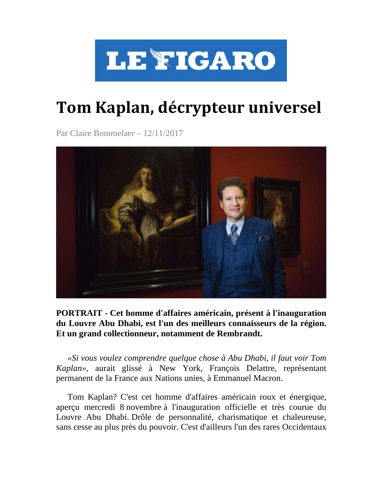

# **Tom Kaplan, décrypteur universel**

Par Claire Bommelaer – 12/11/2017



**PORTRAIT - Cet homme d'affaires américain, présent à l'inauguration du Louvre Abu Dhabi, est l'un des meilleurs connaisseurs de la région. Et un grand collectionneur, notamment de Rembrandt.**

*«Si vous voulez comprendre quelque chose à Abu Dhabi, il faut voir Tom Kaplan»*, aurait glissé à New York, François Delattre, représentant permanent de la France aux Nations unies, à Emmanuel Macron.

Tom Kaplan? C'est cet homme d'affaires américain roux et énergique, aperçu mercredi 8 novembre à l'inauguration officielle et très courue du Louvre Abu Dhabi. Drôle de personnalité, charismatique et chaleureuse, sans cesse au plus près du pouvoir. C'est d'ailleurs l'un des rares Occidentaux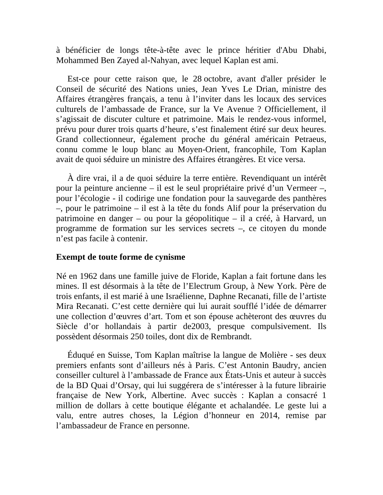à bénéficier de longs tête-à-tête avec le prince héritier d'Abu Dhabi, Mohammed Ben Zayed al-Nahyan, avec lequel Kaplan est ami.

Est-ce pour cette raison que, le 28 octobre, avant d'aller présider le Conseil de sécurité des Nations unies, Jean Yves Le Drian, ministre des Affaires étrangères français, a tenu à l'inviter dans les locaux des services culturels de l'ambassade de France, sur la Ve Avenue ? Officiellement, il s'agissait de discuter culture et patrimoine. Mais le rendez-vous informel, prévu pour durer trois quarts d'heure, s'est finalement étiré sur deux heures. Grand collectionneur, également proche du général américain Petraeus, connu comme le loup blanc au Moyen-Orient, francophile, Tom Kaplan avait de quoi séduire un ministre des Affaires étrangères. Et vice versa.

À dire vrai, il a de quoi séduire la terre entière. Revendiquant un intérêt pour la peinture ancienne – il est le seul propriétaire privé d'un Vermeer –, pour l'écologie - il codirige une fondation pour la sauvegarde des panthères –, pour le patrimoine – il est à la tête du fonds Alif pour la préservation du patrimoine en danger – ou pour la géopolitique – il a créé, à Harvard, un programme de formation sur les services secrets –, ce citoyen du monde n'est pas facile à contenir.

# **Exempt de toute forme de cynisme**

Né en 1962 dans une famille juive de Floride, Kaplan a fait fortune dans les mines. Il est désormais à la tête de l'Electrum Group, à New York. Père de trois enfants, il est marié à une Israélienne, Daphne Recanati, fille de l'artiste Mira Recanati. C'est cette dernière qui lui aurait soufflé l'idée de démarrer une collection d'œuvres d'art. Tom et son épouse achèteront des œuvres du Siècle d'or hollandais à partir de2003, presque compulsivement. Ils possèdent désormais 250 toiles, dont dix de Rembrandt.

Éduqué en Suisse, Tom Kaplan maîtrise la langue de Molière - ses deux premiers enfants sont d'ailleurs nés à Paris. C'est Antonin Baudry, ancien conseiller culturel à l'ambassade de France aux États-Unis et auteur à succès de la BD Quai d'Orsay, qui lui suggérera de s'intéresser à la future librairie française de New York, Albertine. Avec succès : Kaplan a consacré 1 million de dollars à cette boutique élégante et achalandée. Le geste lui a valu, entre autres choses, la Légion d'honneur en 2014, remise par l'ambassadeur de France en personne.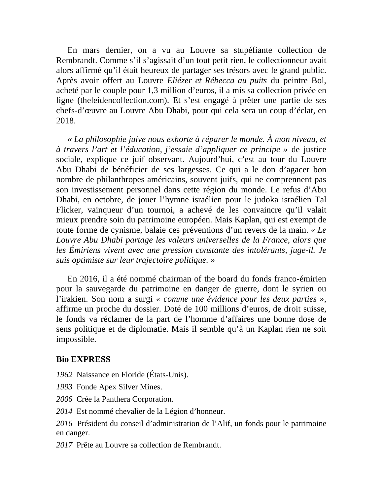En mars dernier, on a vu au Louvre sa stupéfiante collection de Rembrandt. Comme s'il s'agissait d'un tout petit rien, le collectionneur avait alors affirmé qu'il était heureux de partager ses trésors avec le grand public. Après avoir offert au Louvre *Eliézer et Rébecca au puits* du peintre Bol, acheté par le couple pour 1,3 million d'euros, il a mis sa collection privée en ligne (theleidencollection.com). Et s'est engagé à prêter une partie de ses chefs-d'œuvre au Louvre Abu Dhabi, pour qui cela sera un coup d'éclat, en 2018.

*« La philosophie juive nous exhorte à réparer le monde. À mon niveau, et à travers l'art et l'éducation, j'essaie d'appliquer ce principe »* de justice sociale, explique ce juif observant. Aujourd'hui, c'est au tour du Louvre Abu Dhabi de bénéficier de ses largesses. Ce qui a le don d'agacer bon nombre de philanthropes américains, souvent juifs, qui ne comprennent pas son investissement personnel dans cette région du monde. Le refus d'Abu Dhabi, en octobre, de jouer l'hymne israélien pour le judoka israélien Tal Flicker, vainqueur d'un tournoi, a achevé de les convaincre qu'il valait mieux prendre soin du patrimoine européen. Mais Kaplan, qui est exempt de toute forme de cynisme, balaie ces préventions d'un revers de la main. *« Le Louvre Abu Dhabi partage les valeurs universelles de la France, alors que les Émiriens vivent avec une pression constante des intolérants, juge-il. Je suis optimiste sur leur trajectoire politique. »*

En 2016, il a été nommé chairman of the board du fonds franco-émirien pour la sauvegarde du patrimoine en danger de guerre, dont le syrien ou l'irakien. Son nom a surgi *« comme une évidence pour les deux parties »*, affirme un proche du dossier. Doté de 100 millions d'euros, de droit suisse, le fonds va réclamer de la part de l'homme d'affaires une bonne dose de sens politique et de diplomatie. Mais il semble qu'à un Kaplan rien ne soit impossible.

### **Bio EXPRESS**

- *1962* Naissance en Floride (États-Unis).
- *1993* Fonde Apex Silver Mines.
- *2006* Crée la Panthera Corporation.
- *2014* Est nommé chevalier de la Légion d'honneur.

*2016* Président du conseil d'administration de l'Alif, un fonds pour le patrimoine en danger.

*2017* Prête au Louvre sa collection de Rembrandt.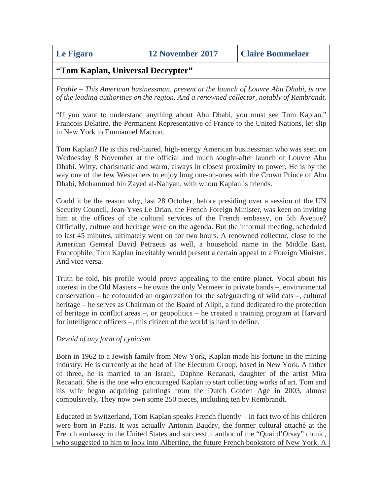**Le Figaro 12 November 2017 Claire Bommelaer**

# **"Tom Kaplan, Universal Decrypter"**

*Profile – This American businessman, present at the launch of Louvre Abu Dhabi, is one of the leading authorities on the region. And a renowned collector, notably of Rembrandt.*

"If you want to understand anything about Abu Dhabi, you must see Tom Kaplan," Francois Delattre, the Permanent Representative of France to the United Nations, let slip in New York to Emmanuel Macron.

Tom Kaplan? He is this red-haired, high-energy American businessman who was seen on Wednesday 8 November at the official and much sought-after launch of Louvre Abu Dhabi. Witty, charismatic and warm, always in closest proximity to power. He is by the way one of the few Westerners to enjoy long one-on-ones with the Crown Prince of Abu Dhabi, Mohammed bin Zayed al-Nahyan, with whom Kaplan is friends.

Could it be the reason why, last 28 October, before presiding over a session of the UN Security Council, Jean-Yves Le Drian, the French Foreign Minister, was keen on inviting him at the offices of the cultural services of the French embassy, on 5th Avenue? Officially, culture and heritage were on the agenda. But the informal meeting, scheduled to last 45 minutes, ultimately went on for two hours. A renowned collector, close to the American General David Petraeus as well, a household name in the Middle East, Francophile, Tom Kaplan inevitably would present a certain appeal to a Foreign Minister. And vice versa.

Truth be told, his profile would prove appealing to the entire planet. Vocal about his interest in the Old Masters – he owns the only Vermeer in private hands –, environmental conservation – he cofounded an organization for the safeguarding of wild cats –, cultural heritage – he serves as Chairman of the Board of Aliph, a fund dedicated to the protection of heritage in conflict areas –, or geopolitics – he created a training program at Harvard for intelligence officers –, this citizen of the world is hard to define.

### *Devoid of any form of cynicism*

Born in 1962 to a Jewish family from New York, Kaplan made his fortune in the mining industry. He is currently at the head of The Electrum Group, based in New York. A father of three, he is married to an Israeli, Daphne Recanati, daughter of the artist Mira Recanati. She is the one who encouraged Kaplan to start collecting works of art. Tom and his wife began acquiring paintings from the Dutch Golden Age in 2003, almost compulsively. They now own some 250 pieces, including ten by Rembrandt.

Educated in Switzerland, Tom Kaplan speaks French fluently – in fact two of his children were born in Paris. It was actually Antonin Baudry, the former cultural attaché at the French embassy in the United States and successful author of the "Quai d'Orsay" comic, who suggested to him to look into Albertine, the future French bookstore of New York. A